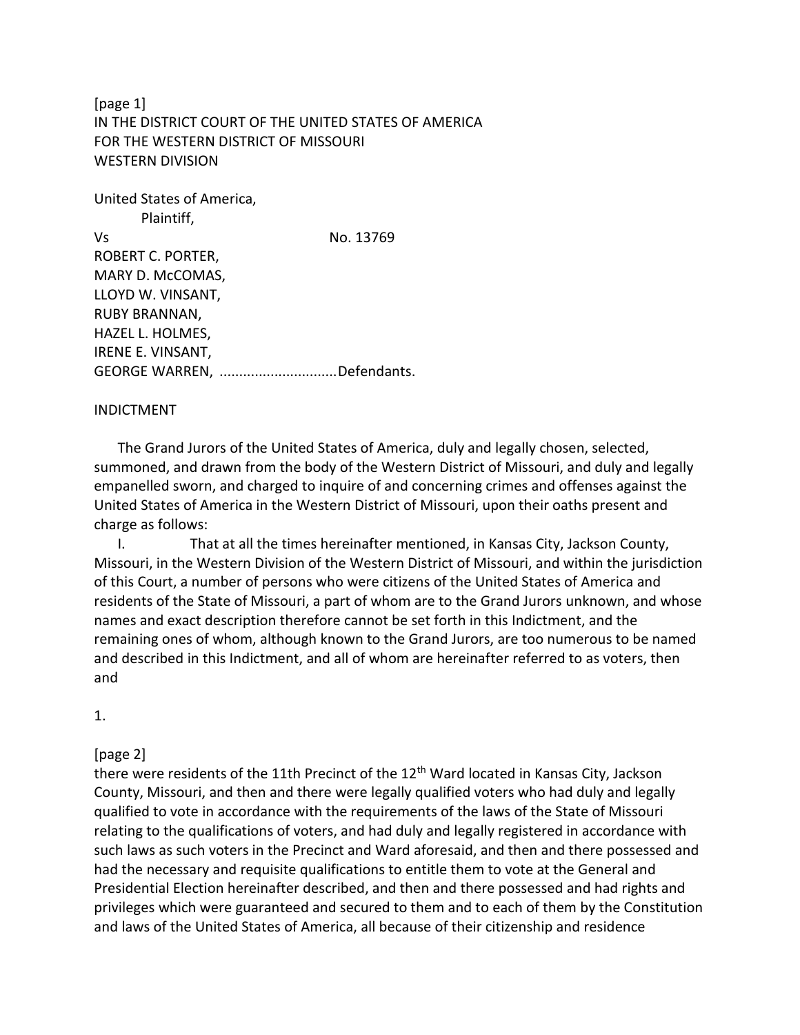[page 1] IN THE DISTRICT COURT OF THE UNITED STATES OF AMERICA FOR THE WESTERN DISTRICT OF MISSOURI WESTERN DIVISION

United States of America, Plaintiff, Vs No. 13769 ROBERT C. PORTER, MARY D. McCOMAS, LLOYD W. VINSANT, RUBY BRANNAN, HAZEL L. HOLMES, IRENE E. VINSANT, GEORGE WARREN, ..............................Defendants.

#### INDICTMENT

The Grand Jurors of the United States of America, duly and legally chosen, selected, summoned, and drawn from the body of the Western District of Missouri, and duly and legally empanelled sworn, and charged to inquire of and concerning crimes and offenses against the United States of America in the Western District of Missouri, upon their oaths present and charge as follows:

I. That at all the times hereinafter mentioned, in Kansas City, Jackson County, Missouri, in the Western Division of the Western District of Missouri, and within the jurisdiction of this Court, a number of persons who were citizens of the United States of America and residents of the State of Missouri, a part of whom are to the Grand Jurors unknown, and whose names and exact description therefore cannot be set forth in this Indictment, and the remaining ones of whom, although known to the Grand Jurors, are too numerous to be named and described in this Indictment, and all of whom are hereinafter referred to as voters, then and

1.

#### [page 2]

there were residents of the 11th Precinct of the 12<sup>th</sup> Ward located in Kansas City, Jackson County, Missouri, and then and there were legally qualified voters who had duly and legally qualified to vote in accordance with the requirements of the laws of the State of Missouri relating to the qualifications of voters, and had duly and legally registered in accordance with such laws as such voters in the Precinct and Ward aforesaid, and then and there possessed and had the necessary and requisite qualifications to entitle them to vote at the General and Presidential Election hereinafter described, and then and there possessed and had rights and privileges which were guaranteed and secured to them and to each of them by the Constitution and laws of the United States of America, all because of their citizenship and residence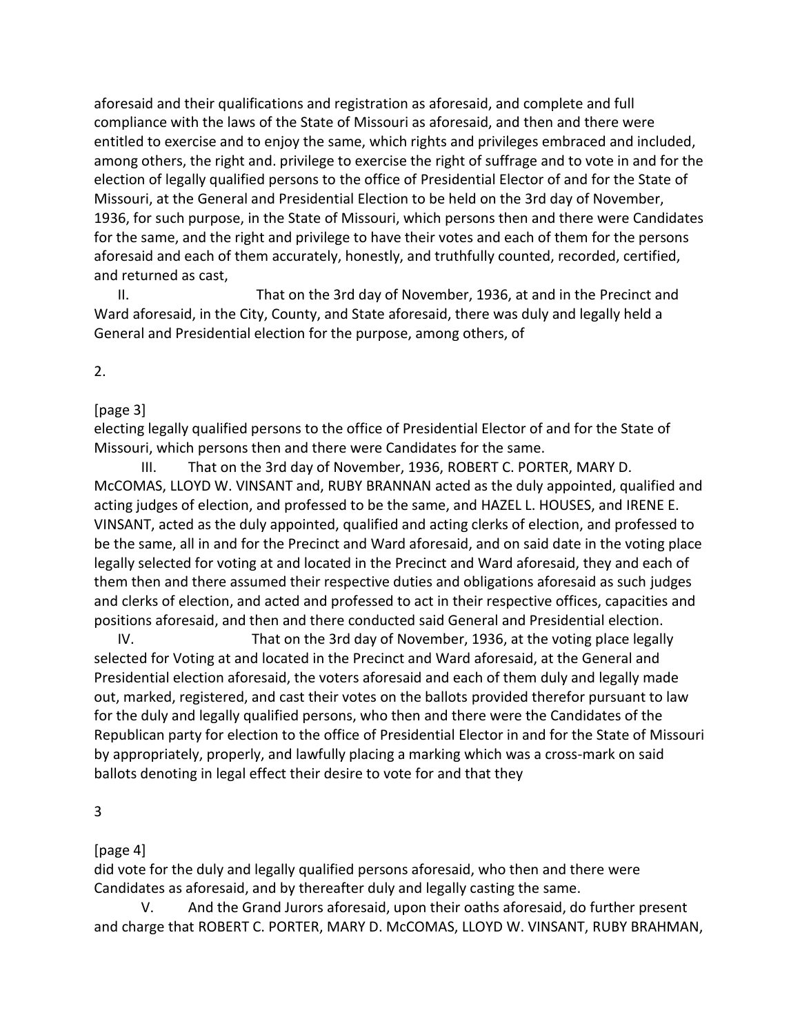aforesaid and their qualifications and registration as aforesaid, and complete and full compliance with the laws of the State of Missouri as aforesaid, and then and there were entitled to exercise and to enjoy the same, which rights and privileges embraced and included, among others, the right and. privilege to exercise the right of suffrage and to vote in and for the election of legally qualified persons to the office of Presidential Elector of and for the State of Missouri, at the General and Presidential Election to be held on the 3rd day of November, 1936, for such purpose, in the State of Missouri, which persons then and there were Candidates for the same, and the right and privilege to have their votes and each of them for the persons aforesaid and each of them accurately, honestly, and truthfully counted, recorded, certified, and returned as cast,

II. That on the 3rd day of November, 1936, at and in the Precinct and Ward aforesaid, in the City, County, and State aforesaid, there was duly and legally held a General and Presidential election for the purpose, among others, of

2.

[page 3]

electing legally qualified persons to the office of Presidential Elector of and for the State of Missouri, which persons then and there were Candidates for the same.

III. That on the 3rd day of November, 1936, ROBERT C. PORTER, MARY D. McCOMAS, LLOYD W. VINSANT and, RUBY BRANNAN acted as the duly appointed, qualified and acting judges of election, and professed to be the same, and HAZEL L. HOUSES, and IRENE E. VINSANT, acted as the duly appointed, qualified and acting clerks of election, and professed to be the same, all in and for the Precinct and Ward aforesaid, and on said date in the voting place legally selected for voting at and located in the Precinct and Ward aforesaid, they and each of them then and there assumed their respective duties and obligations aforesaid as such judges and clerks of election, and acted and professed to act in their respective offices, capacities and positions aforesaid, and then and there conducted said General and Presidential election.

IV. That on the 3rd day of November, 1936, at the voting place legally selected for Voting at and located in the Precinct and Ward aforesaid, at the General and Presidential election aforesaid, the voters aforesaid and each of them duly and legally made out, marked, registered, and cast their votes on the ballots provided therefor pursuant to law for the duly and legally qualified persons, who then and there were the Candidates of the Republican party for election to the office of Presidential Elector in and for the State of Missouri by appropriately, properly, and lawfully placing a marking which was a cross-mark on said ballots denoting in legal effect their desire to vote for and that they

3

[page 4]

did vote for the duly and legally qualified persons aforesaid, who then and there were Candidates as aforesaid, and by thereafter duly and legally casting the same.

V. And the Grand Jurors aforesaid, upon their oaths aforesaid, do further present and charge that ROBERT C. PORTER, MARY D. McCOMAS, LLOYD W. VINSANT, RUBY BRAHMAN,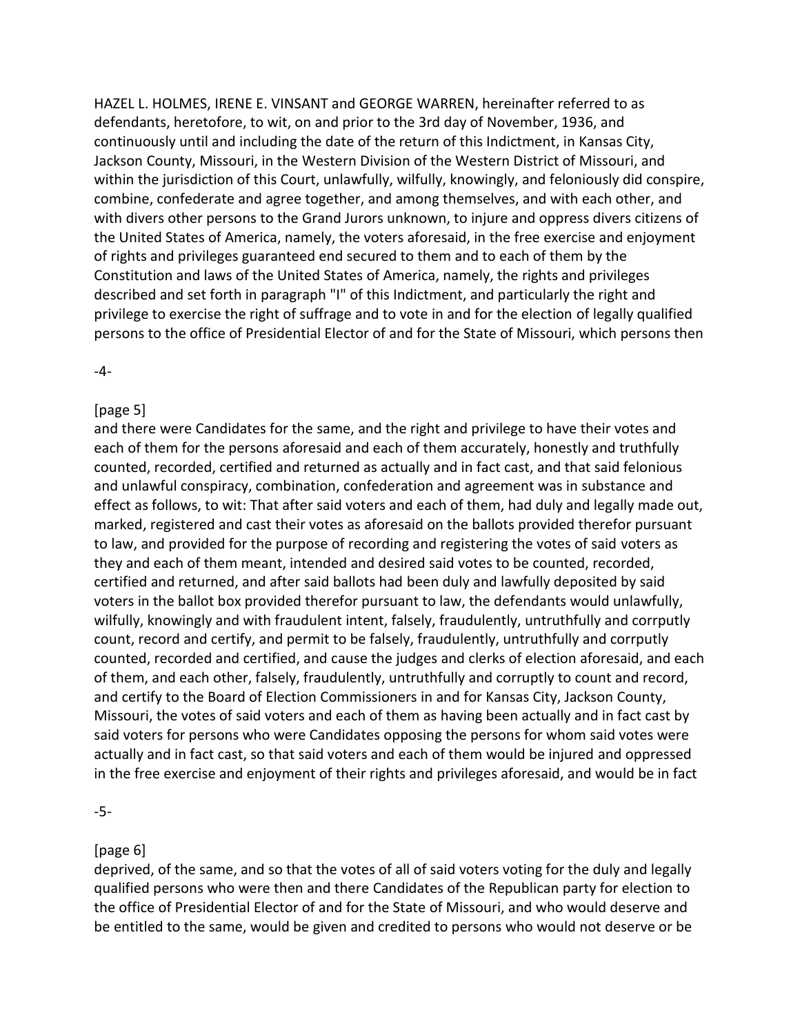HAZEL L. HOLMES, IRENE E. VINSANT and GEORGE WARREN, hereinafter referred to as defendants, heretofore, to wit, on and prior to the 3rd day of November, 1936, and continuously until and including the date of the return of this Indictment, in Kansas City, Jackson County, Missouri, in the Western Division of the Western District of Missouri, and within the jurisdiction of this Court, unlawfully, wilfully, knowingly, and feloniously did conspire, combine, confederate and agree together, and among themselves, and with each other, and with divers other persons to the Grand Jurors unknown, to injure and oppress divers citizens of the United States of America, namely, the voters aforesaid, in the free exercise and enjoyment of rights and privileges guaranteed end secured to them and to each of them by the Constitution and laws of the United States of America, namely, the rights and privileges described and set forth in paragraph "I" of this Indictment, and particularly the right and privilege to exercise the right of suffrage and to vote in and for the election of legally qualified persons to the office of Presidential Elector of and for the State of Missouri, which persons then

-4-

## [page 5]

and there were Candidates for the same, and the right and privilege to have their votes and each of them for the persons aforesaid and each of them accurately, honestly and truthfully counted, recorded, certified and returned as actually and in fact cast, and that said felonious and unlawful conspiracy, combination, confederation and agreement was in substance and effect as follows, to wit: That after said voters and each of them, had duly and legally made out, marked, registered and cast their votes as aforesaid on the ballots provided therefor pursuant to law, and provided for the purpose of recording and registering the votes of said voters as they and each of them meant, intended and desired said votes to be counted, recorded, certified and returned, and after said ballots had been duly and lawfully deposited by said voters in the ballot box provided therefor pursuant to law, the defendants would unlawfully, wilfully, knowingly and with fraudulent intent, falsely, fraudulently, untruthfully and corrputly count, record and certify, and permit to be falsely, fraudulently, untruthfully and corrputly counted, recorded and certified, and cause the judges and clerks of election aforesaid, and each of them, and each other, falsely, fraudulently, untruthfully and corruptly to count and record, and certify to the Board of Election Commissioners in and for Kansas City, Jackson County, Missouri, the votes of said voters and each of them as having been actually and in fact cast by said voters for persons who were Candidates opposing the persons for whom said votes were actually and in fact cast, so that said voters and each of them would be injured and oppressed in the free exercise and enjoyment of their rights and privileges aforesaid, and would be in fact

-5-

# [page 6]

deprived, of the same, and so that the votes of all of said voters voting for the duly and legally qualified persons who were then and there Candidates of the Republican party for election to the office of Presidential Elector of and for the State of Missouri, and who would deserve and be entitled to the same, would be given and credited to persons who would not deserve or be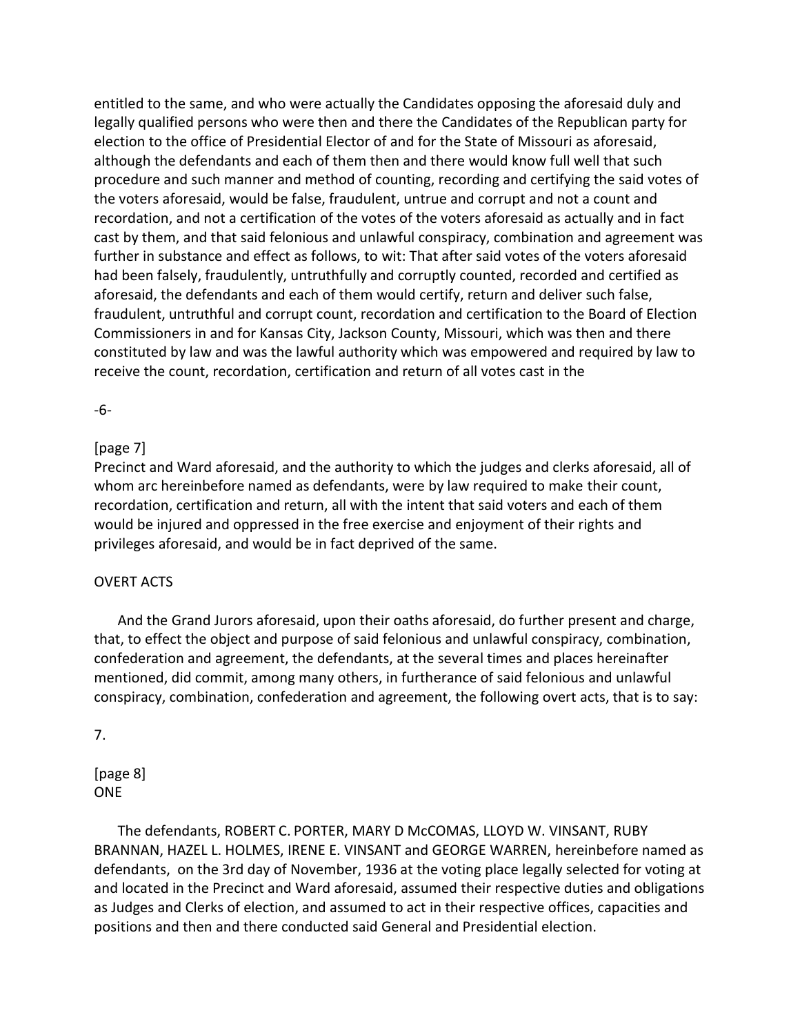entitled to the same, and who were actually the Candidates opposing the aforesaid duly and legally qualified persons who were then and there the Candidates of the Republican party for election to the office of Presidential Elector of and for the State of Missouri as aforesaid, although the defendants and each of them then and there would know full well that such procedure and such manner and method of counting, recording and certifying the said votes of the voters aforesaid, would be false, fraudulent, untrue and corrupt and not a count and recordation, and not a certification of the votes of the voters aforesaid as actually and in fact cast by them, and that said felonious and unlawful conspiracy, combination and agreement was further in substance and effect as follows, to wit: That after said votes of the voters aforesaid had been falsely, fraudulently, untruthfully and corruptly counted, recorded and certified as aforesaid, the defendants and each of them would certify, return and deliver such false, fraudulent, untruthful and corrupt count, recordation and certification to the Board of Election Commissioners in and for Kansas City, Jackson County, Missouri, which was then and there constituted by law and was the lawful authority which was empowered and required by law to receive the count, recordation, certification and return of all votes cast in the

-6-

### [page 7]

Precinct and Ward aforesaid, and the authority to which the judges and clerks aforesaid, all of whom arc hereinbefore named as defendants, were by law required to make their count, recordation, certification and return, all with the intent that said voters and each of them would be injured and oppressed in the free exercise and enjoyment of their rights and privileges aforesaid, and would be in fact deprived of the same.

### OVERT ACTS

And the Grand Jurors aforesaid, upon their oaths aforesaid, do further present and charge, that, to effect the object and purpose of said felonious and unlawful conspiracy, combination, confederation and agreement, the defendants, at the several times and places hereinafter mentioned, did commit, among many others, in furtherance of said felonious and unlawful conspiracy, combination, confederation and agreement, the following overt acts, that is to say:

### 7.

[page 8] ONE

The defendants, ROBERT C. PORTER, MARY D McCOMAS, LLOYD W. VINSANT, RUBY BRANNAN, HAZEL L. HOLMES, IRENE E. VINSANT and GEORGE WARREN, hereinbefore named as defendants, on the 3rd day of November, 1936 at the voting place legally selected for voting at and located in the Precinct and Ward aforesaid, assumed their respective duties and obligations as Judges and Clerks of election, and assumed to act in their respective offices, capacities and positions and then and there conducted said General and Presidential election.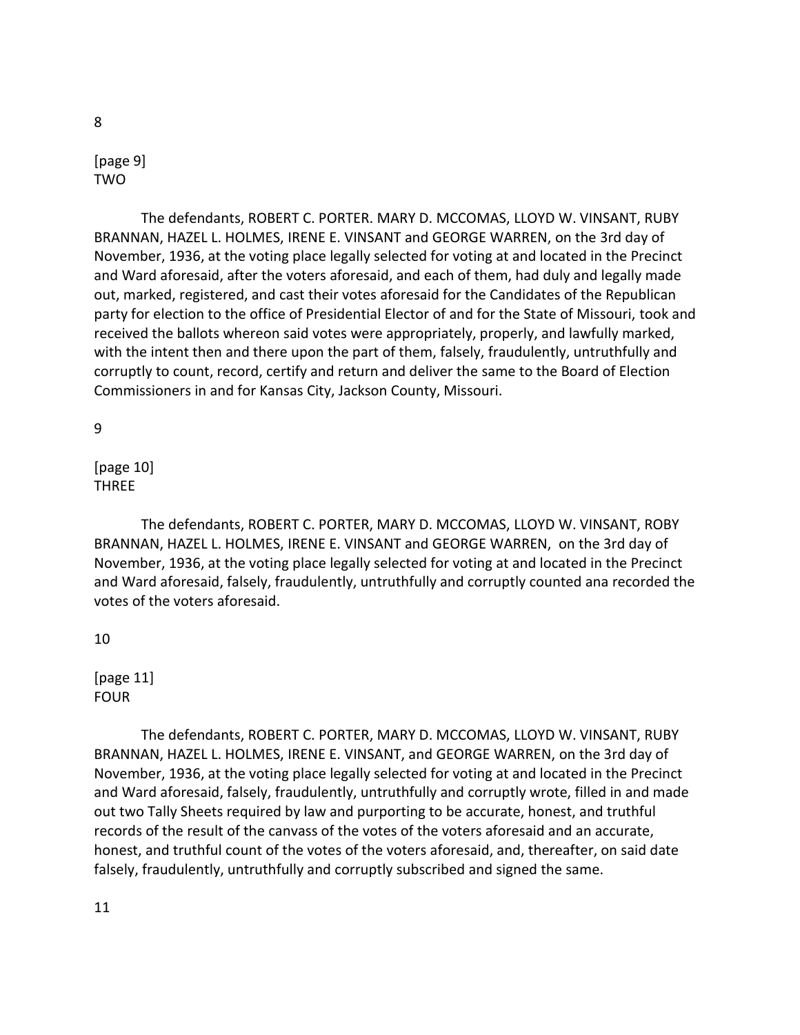8

[page 9] TWO

The defendants, ROBERT C. PORTER. MARY D. MCCOMAS, LLOYD W. VINSANT, RUBY BRANNAN, HAZEL L. HOLMES, IRENE E. VINSANT and GEORGE WARREN, on the 3rd day of November, 1936, at the voting place legally selected for voting at and located in the Precinct and Ward aforesaid, after the voters aforesaid, and each of them, had duly and legally made out, marked, registered, and cast their votes aforesaid for the Candidates of the Republican party for election to the office of Presidential Elector of and for the State of Missouri, took and received the ballots whereon said votes were appropriately, properly, and lawfully marked, with the intent then and there upon the part of them, falsely, fraudulently, untruthfully and corruptly to count, record, certify and return and deliver the same to the Board of Election Commissioners in and for Kansas City, Jackson County, Missouri.

9

[page 10] THREE

The defendants, ROBERT C. PORTER, MARY D. MCCOMAS, LLOYD W. VINSANT, ROBY BRANNAN, HAZEL L. HOLMES, IRENE E. VINSANT and GEORGE WARREN, on the 3rd day of November, 1936, at the voting place legally selected for voting at and located in the Precinct and Ward aforesaid, falsely, fraudulently, untruthfully and corruptly counted ana recorded the votes of the voters aforesaid.

10

[page 11] FOUR

The defendants, ROBERT C. PORTER, MARY D. MCCOMAS, LLOYD W. VINSANT, RUBY BRANNAN, HAZEL L. HOLMES, IRENE E. VINSANT, and GEORGE WARREN, on the 3rd day of November, 1936, at the voting place legally selected for voting at and located in the Precinct and Ward aforesaid, falsely, fraudulently, untruthfully and corruptly wrote, filled in and made out two Tally Sheets required by law and purporting to be accurate, honest, and truthful records of the result of the canvass of the votes of the voters aforesaid and an accurate, honest, and truthful count of the votes of the voters aforesaid, and, thereafter, on said date falsely, fraudulently, untruthfully and corruptly subscribed and signed the same.

11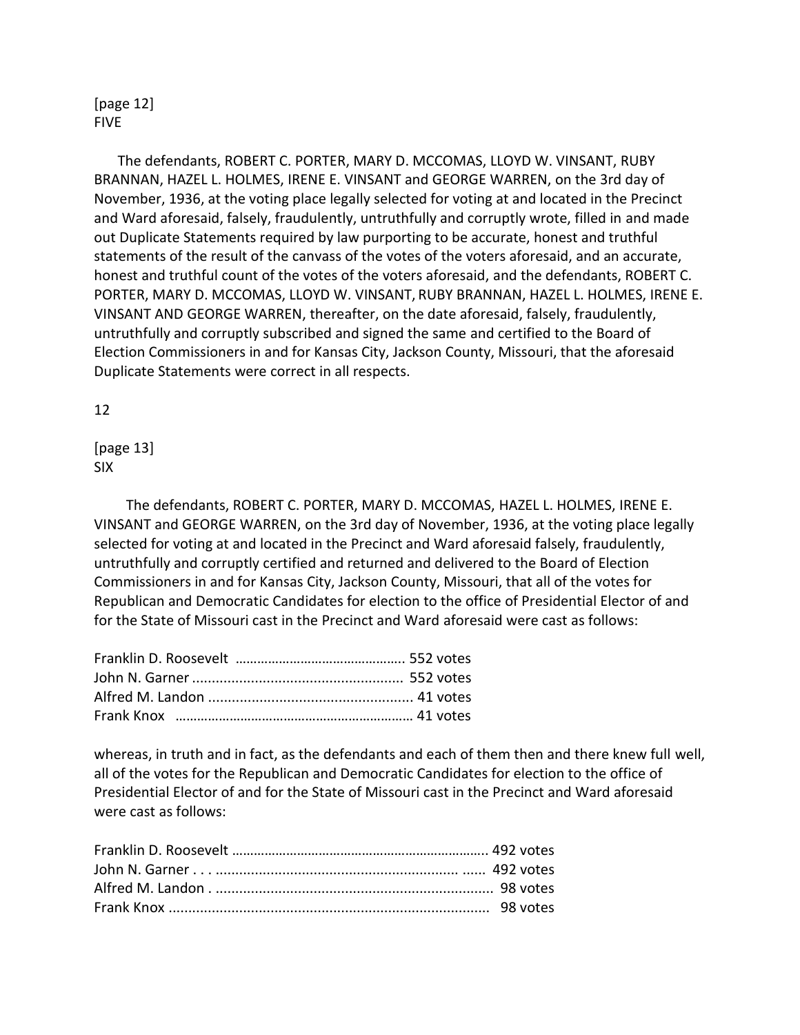### [page 12] FIVE

The defendants, ROBERT C. PORTER, MARY D. MCCOMAS, LLOYD W. VINSANT, RUBY BRANNAN, HAZEL L. HOLMES, IRENE E. VINSANT and GEORGE WARREN, on the 3rd day of November, 1936, at the voting place legally selected for voting at and located in the Precinct and Ward aforesaid, falsely, fraudulently, untruthfully and corruptly wrote, filled in and made out Duplicate Statements required by law purporting to be accurate, honest and truthful statements of the result of the canvass of the votes of the voters aforesaid, and an accurate, honest and truthful count of the votes of the voters aforesaid, and the defendants, ROBERT C. PORTER, MARY D. MCCOMAS, LLOYD W. VINSANT, RUBY BRANNAN, HAZEL L. HOLMES, IRENE E. VINSANT AND GEORGE WARREN, thereafter, on the date aforesaid, falsely, fraudulently, untruthfully and corruptly subscribed and signed the same and certified to the Board of Election Commissioners in and for Kansas City, Jackson County, Missouri, that the aforesaid Duplicate Statements were correct in all respects.

12

[page 13] SIX

 The defendants, ROBERT C. PORTER, MARY D. MCCOMAS, HAZEL L. HOLMES, IRENE E. VINSANT and GEORGE WARREN, on the 3rd day of November, 1936, at the voting place legally selected for voting at and located in the Precinct and Ward aforesaid falsely, fraudulently, untruthfully and corruptly certified and returned and delivered to the Board of Election Commissioners in and for Kansas City, Jackson County, Missouri, that all of the votes for Republican and Democratic Candidates for election to the office of Presidential Elector of and for the State of Missouri cast in the Precinct and Ward aforesaid were cast as follows:

whereas, in truth and in fact, as the defendants and each of them then and there knew full well, all of the votes for the Republican and Democratic Candidates for election to the office of Presidential Elector of and for the State of Missouri cast in the Precinct and Ward aforesaid were cast as follows: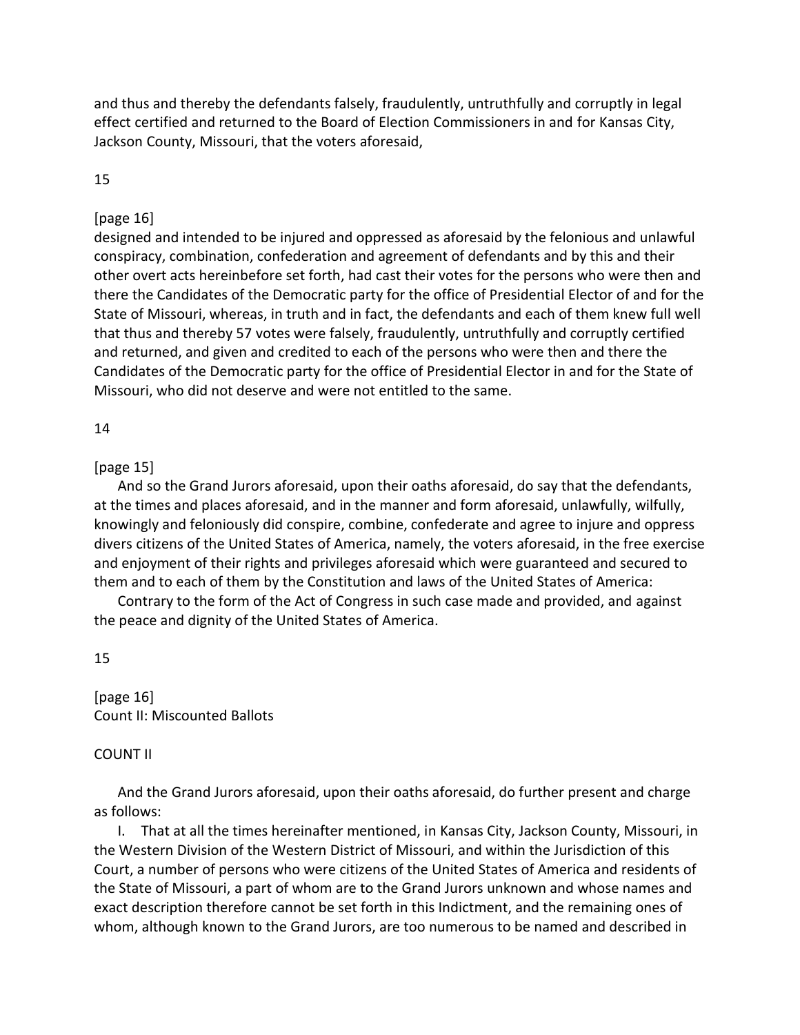and thus and thereby the defendants falsely, fraudulently, untruthfully and corruptly in legal effect certified and returned to the Board of Election Commissioners in and for Kansas City, Jackson County, Missouri, that the voters aforesaid,

### 15

### [page 16]

designed and intended to be injured and oppressed as aforesaid by the felonious and unlawful conspiracy, combination, confederation and agreement of defendants and by this and their other overt acts hereinbefore set forth, had cast their votes for the persons who were then and there the Candidates of the Democratic party for the office of Presidential Elector of and for the State of Missouri, whereas, in truth and in fact, the defendants and each of them knew full well that thus and thereby 57 votes were falsely, fraudulently, untruthfully and corruptly certified and returned, and given and credited to each of the persons who were then and there the Candidates of the Democratic party for the office of Presidential Elector in and for the State of Missouri, who did not deserve and were not entitled to the same.

### 14

### [page 15]

And so the Grand Jurors aforesaid, upon their oaths aforesaid, do say that the defendants, at the times and places aforesaid, and in the manner and form aforesaid, unlawfully, wilfully, knowingly and feloniously did conspire, combine, confederate and agree to injure and oppress divers citizens of the United States of America, namely, the voters aforesaid, in the free exercise and enjoyment of their rights and privileges aforesaid which were guaranteed and secured to them and to each of them by the Constitution and laws of the United States of America:

Contrary to the form of the Act of Congress in such case made and provided, and against the peace and dignity of the United States of America.

#### 15

[page 16] Count II: Miscounted Ballots

### COUNT II

And the Grand Jurors aforesaid, upon their oaths aforesaid, do further present and charge as follows:

I. That at all the times hereinafter mentioned, in Kansas City, Jackson County, Missouri, in the Western Division of the Western District of Missouri, and within the Jurisdiction of this Court, a number of persons who were citizens of the United States of America and residents of the State of Missouri, a part of whom are to the Grand Jurors unknown and whose names and exact description therefore cannot be set forth in this Indictment, and the remaining ones of whom, although known to the Grand Jurors, are too numerous to be named and described in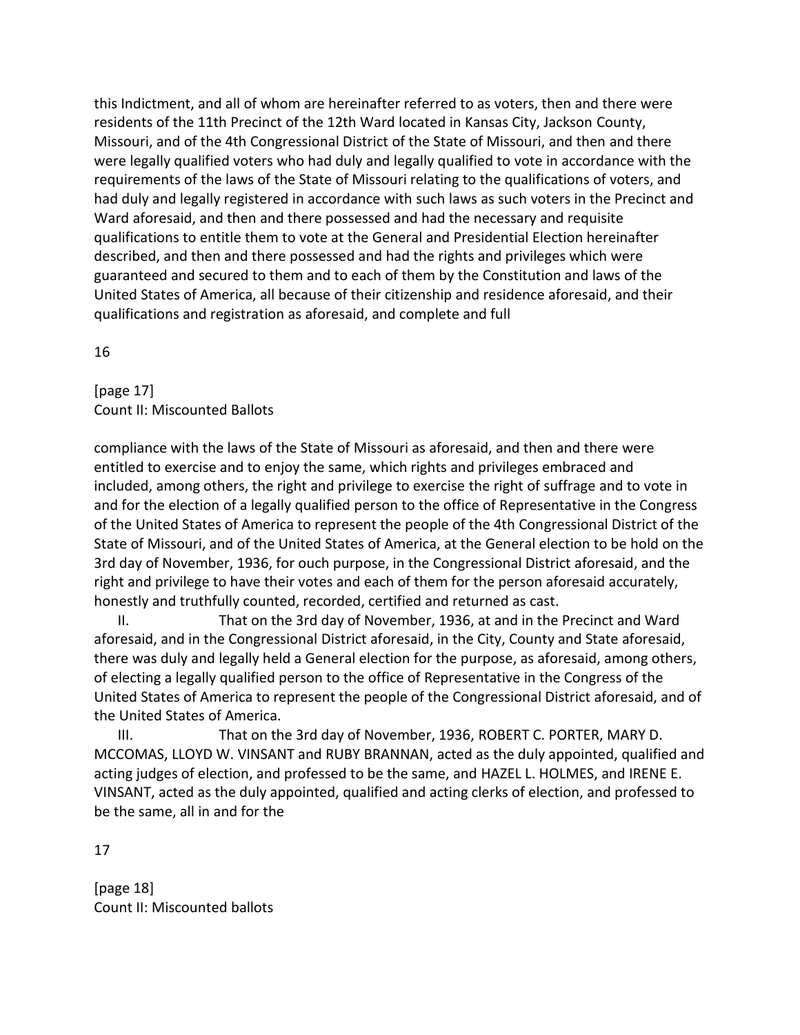this Indictment, and all of whom are hereinafter referred to as voters, then and there were residents of the 11th Precinct of the 12th Ward located in Kansas City, Jackson County, Missouri, and of the 4th Congressional District of the State of Missouri, and then and there were legally qualified voters who had duly and legally qualified to vote in accordance with the requirements of the laws of the State of Missouri relating to the qualifications of voters, and had duly and legally registered in accordance with such laws as such voters in the Precinct and Ward aforesaid, and then and there possessed and had the necessary and requisite qualifications to entitle them to vote at the General and Presidential Election hereinafter described, and then and there possessed and had the rights and privileges which were guaranteed and secured to them and to each of them by the Constitution and laws of the United States of America, all because of their citizenship and residence aforesaid, and their qualifications and registration as aforesaid, and complete and full

16

[page 17] Count II: Miscounted Ballots

compliance with the laws of the State of Missouri as aforesaid, and then and there were entitled to exercise and to enjoy the same, which rights and privileges embraced and included, among others, the right and privilege to exercise the right of suffrage and to vote in and for the election of a legally qualified person to the office of Representative in the Congress of the United States of America to represent the people of the 4th Congressional District of the State of Missouri, and of the United States of America, at the General election to be hold on the 3rd day of November, 1936, for ouch purpose, in the Congressional District aforesaid, and the right and privilege to have their votes and each of them for the person aforesaid accurately, honestly and truthfully counted, recorded, certified and returned as cast.

II. That on the 3rd day of November, 1936, at and in the Precinct and Ward aforesaid, and in the Congressional District aforesaid, in the City, County and State aforesaid, there was duly and legally held a General election for the purpose, as aforesaid, among others, of electing a legally qualified person to the office of Representative in the Congress of the United States of America to represent the people of the Congressional District aforesaid, and of the United States of America.

III. That on the 3rd day of November, 1936, ROBERT C. PORTER, MARY D. MCCOMAS, LLOYD W. VINSANT and RUBY BRANNAN, acted as the duly appointed, qualified and acting judges of election, and professed to be the same, and HAZEL L. HOLMES, and IRENE E. VINSANT, acted as the duly appointed, qualified and acting clerks of election, and professed to be the same, all in and for the

17

[page 18] Count II: Miscounted ballots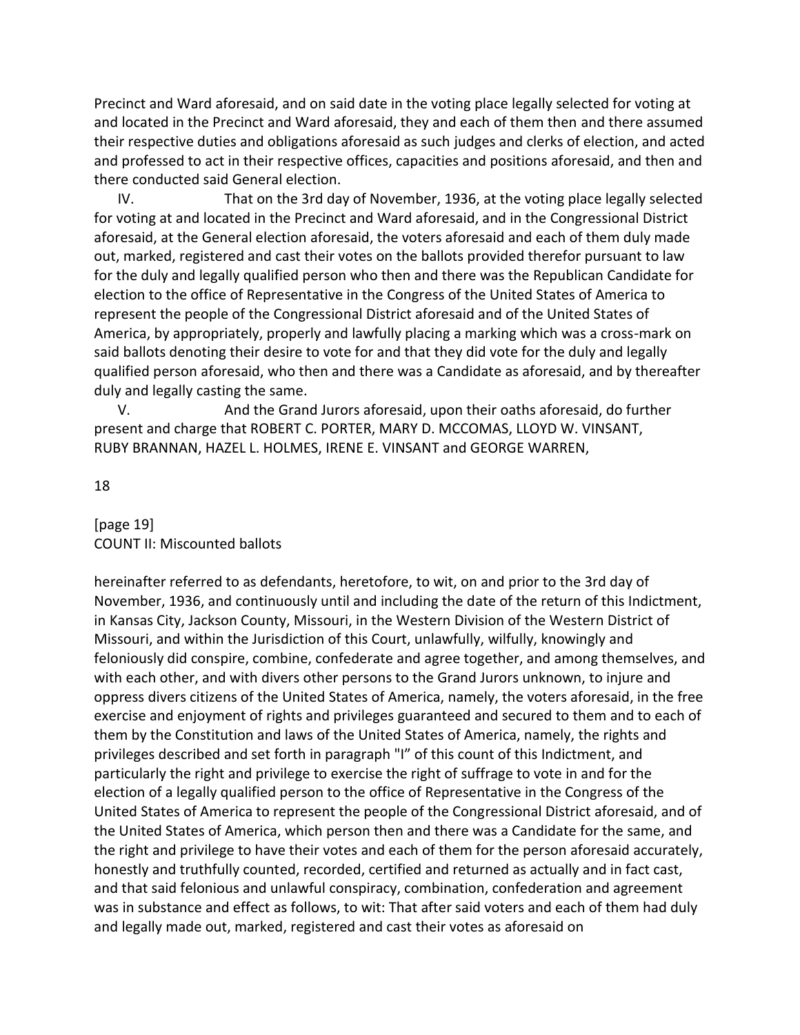Precinct and Ward aforesaid, and on said date in the voting place legally selected for voting at and located in the Precinct and Ward aforesaid, they and each of them then and there assumed their respective duties and obligations aforesaid as such judges and clerks of election, and acted and professed to act in their respective offices, capacities and positions aforesaid, and then and there conducted said General election.

IV. That on the 3rd day of November, 1936, at the voting place legally selected for voting at and located in the Precinct and Ward aforesaid, and in the Congressional District aforesaid, at the General election aforesaid, the voters aforesaid and each of them duly made out, marked, registered and cast their votes on the ballots provided therefor pursuant to law for the duly and legally qualified person who then and there was the Republican Candidate for election to the office of Representative in the Congress of the United States of America to represent the people of the Congressional District aforesaid and of the United States of America, by appropriately, properly and lawfully placing a marking which was a cross-mark on said ballots denoting their desire to vote for and that they did vote for the duly and legally qualified person aforesaid, who then and there was a Candidate as aforesaid, and by thereafter duly and legally casting the same.

V. And the Grand Jurors aforesaid, upon their oaths aforesaid, do further present and charge that ROBERT C. PORTER, MARY D. MCCOMAS, LLOYD W. VINSANT, RUBY BRANNAN, HAZEL L. HOLMES, IRENE E. VINSANT and GEORGE WARREN,

### 18

[page 19] COUNT II: Miscounted ballots

hereinafter referred to as defendants, heretofore, to wit, on and prior to the 3rd day of November, 1936, and continuously until and including the date of the return of this Indictment, in Kansas City, Jackson County, Missouri, in the Western Division of the Western District of Missouri, and within the Jurisdiction of this Court, unlawfully, wilfully, knowingly and feloniously did conspire, combine, confederate and agree together, and among themselves, and with each other, and with divers other persons to the Grand Jurors unknown, to injure and oppress divers citizens of the United States of America, namely, the voters aforesaid, in the free exercise and enjoyment of rights and privileges guaranteed and secured to them and to each of them by the Constitution and laws of the United States of America, namely, the rights and privileges described and set forth in paragraph "I" of this count of this Indictment, and particularly the right and privilege to exercise the right of suffrage to vote in and for the election of a legally qualified person to the office of Representative in the Congress of the United States of America to represent the people of the Congressional District aforesaid, and of the United States of America, which person then and there was a Candidate for the same, and the right and privilege to have their votes and each of them for the person aforesaid accurately, honestly and truthfully counted, recorded, certified and returned as actually and in fact cast, and that said felonious and unlawful conspiracy, combination, confederation and agreement was in substance and effect as follows, to wit: That after said voters and each of them had duly and legally made out, marked, registered and cast their votes as aforesaid on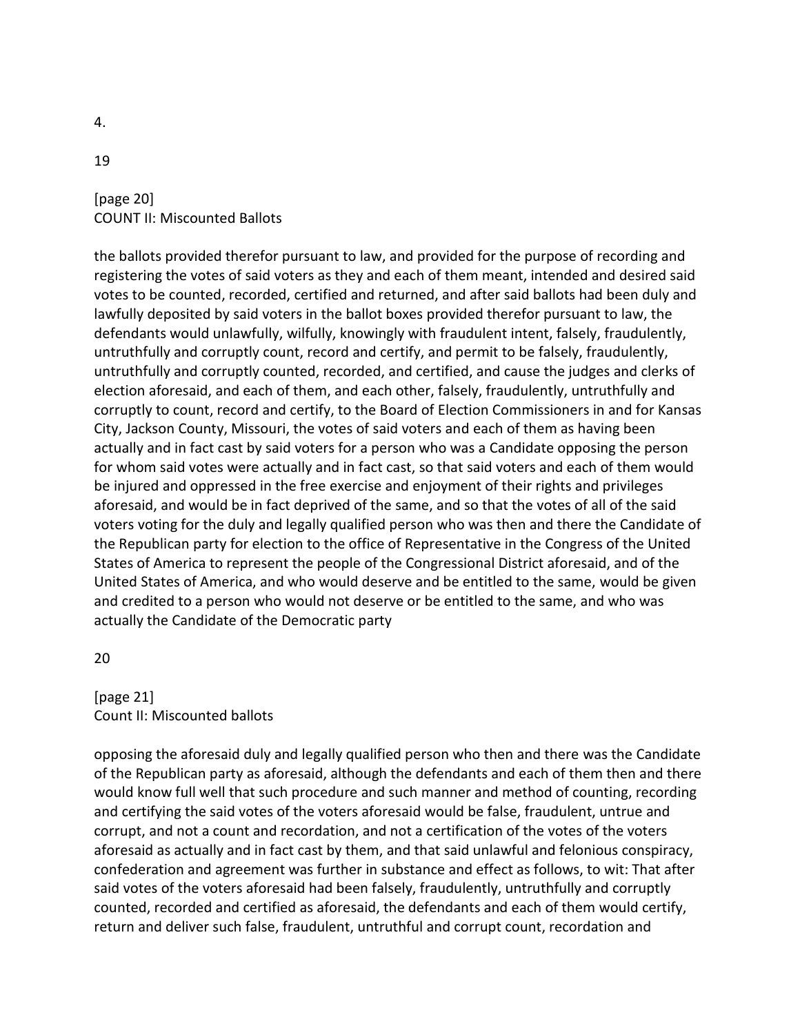4.

### 19

[page 20] COUNT II: Miscounted Ballots

the ballots provided therefor pursuant to law, and provided for the purpose of recording and registering the votes of said voters as they and each of them meant, intended and desired said votes to be counted, recorded, certified and returned, and after said ballots had been duly and lawfully deposited by said voters in the ballot boxes provided therefor pursuant to law, the defendants would unlawfully, wilfully, knowingly with fraudulent intent, falsely, fraudulently, untruthfully and corruptly count, record and certify, and permit to be falsely, fraudulently, untruthfully and corruptly counted, recorded, and certified, and cause the judges and clerks of election aforesaid, and each of them, and each other, falsely, fraudulently, untruthfully and corruptly to count, record and certify, to the Board of Election Commissioners in and for Kansas City, Jackson County, Missouri, the votes of said voters and each of them as having been actually and in fact cast by said voters for a person who was a Candidate opposing the person for whom said votes were actually and in fact cast, so that said voters and each of them would be injured and oppressed in the free exercise and enjoyment of their rights and privileges aforesaid, and would be in fact deprived of the same, and so that the votes of all of the said voters voting for the duly and legally qualified person who was then and there the Candidate of the Republican party for election to the office of Representative in the Congress of the United States of America to represent the people of the Congressional District aforesaid, and of the United States of America, and who would deserve and be entitled to the same, would be given and credited to a person who would not deserve or be entitled to the same, and who was actually the Candidate of the Democratic party

20

[page 21] Count II: Miscounted ballots

opposing the aforesaid duly and legally qualified person who then and there was the Candidate of the Republican party as aforesaid, although the defendants and each of them then and there would know full well that such procedure and such manner and method of counting, recording and certifying the said votes of the voters aforesaid would be false, fraudulent, untrue and corrupt, and not a count and recordation, and not a certification of the votes of the voters aforesaid as actually and in fact cast by them, and that said unlawful and felonious conspiracy, confederation and agreement was further in substance and effect as follows, to wit: That after said votes of the voters aforesaid had been falsely, fraudulently, untruthfully and corruptly counted, recorded and certified as aforesaid, the defendants and each of them would certify, return and deliver such false, fraudulent, untruthful and corrupt count, recordation and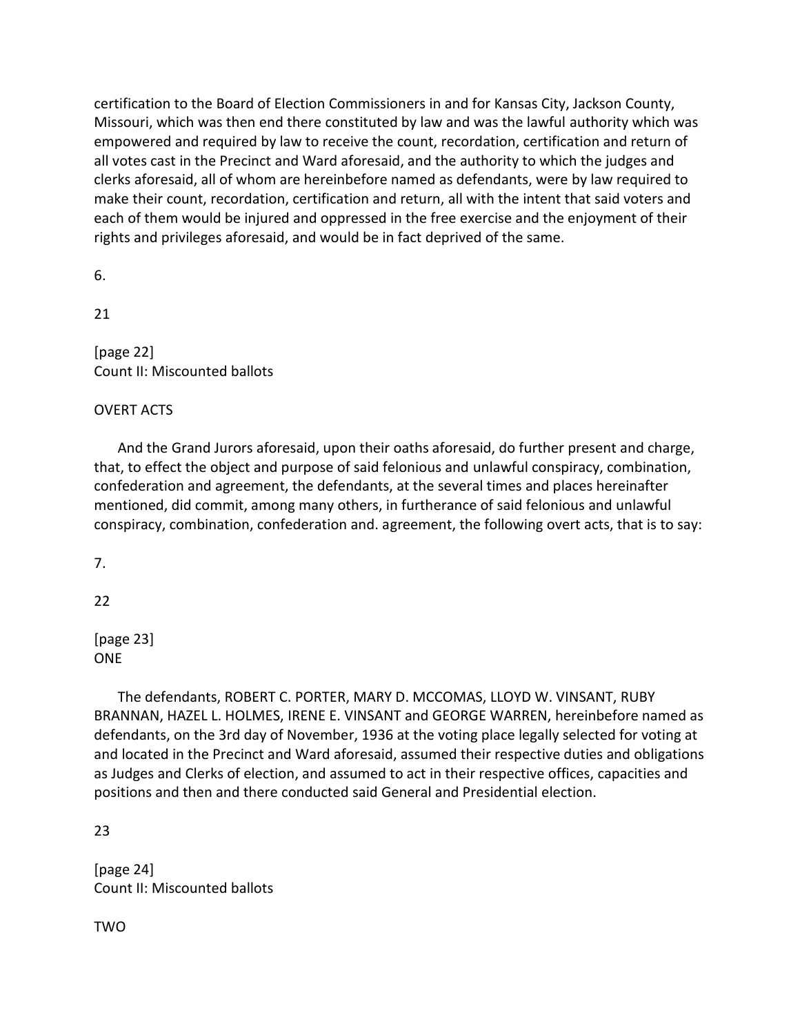certification to the Board of Election Commissioners in and for Kansas City, Jackson County, Missouri, which was then end there constituted by law and was the lawful authority which was empowered and required by law to receive the count, recordation, certification and return of all votes cast in the Precinct and Ward aforesaid, and the authority to which the judges and clerks aforesaid, all of whom are hereinbefore named as defendants, were by law required to make their count, recordation, certification and return, all with the intent that said voters and each of them would be injured and oppressed in the free exercise and the enjoyment of their rights and privileges aforesaid, and would be in fact deprived of the same.

6.

21

[page 22] Count II: Miscounted ballots

## OVERT ACTS

And the Grand Jurors aforesaid, upon their oaths aforesaid, do further present and charge, that, to effect the object and purpose of said felonious and unlawful conspiracy, combination, confederation and agreement, the defendants, at the several times and places hereinafter mentioned, did commit, among many others, in furtherance of said felonious and unlawful conspiracy, combination, confederation and. agreement, the following overt acts, that is to say:

7.

 $22$ 

[page 23] ONE

The defendants, ROBERT C. PORTER, MARY D. MCCOMAS, LLOYD W. VINSANT, RUBY BRANNAN, HAZEL L. HOLMES, IRENE E. VINSANT and GEORGE WARREN, hereinbefore named as defendants, on the 3rd day of November, 1936 at the voting place legally selected for voting at and located in the Precinct and Ward aforesaid, assumed their respective duties and obligations as Judges and Clerks of election, and assumed to act in their respective offices, capacities and positions and then and there conducted said General and Presidential election.

23

[page 24] Count II: Miscounted ballots

TWO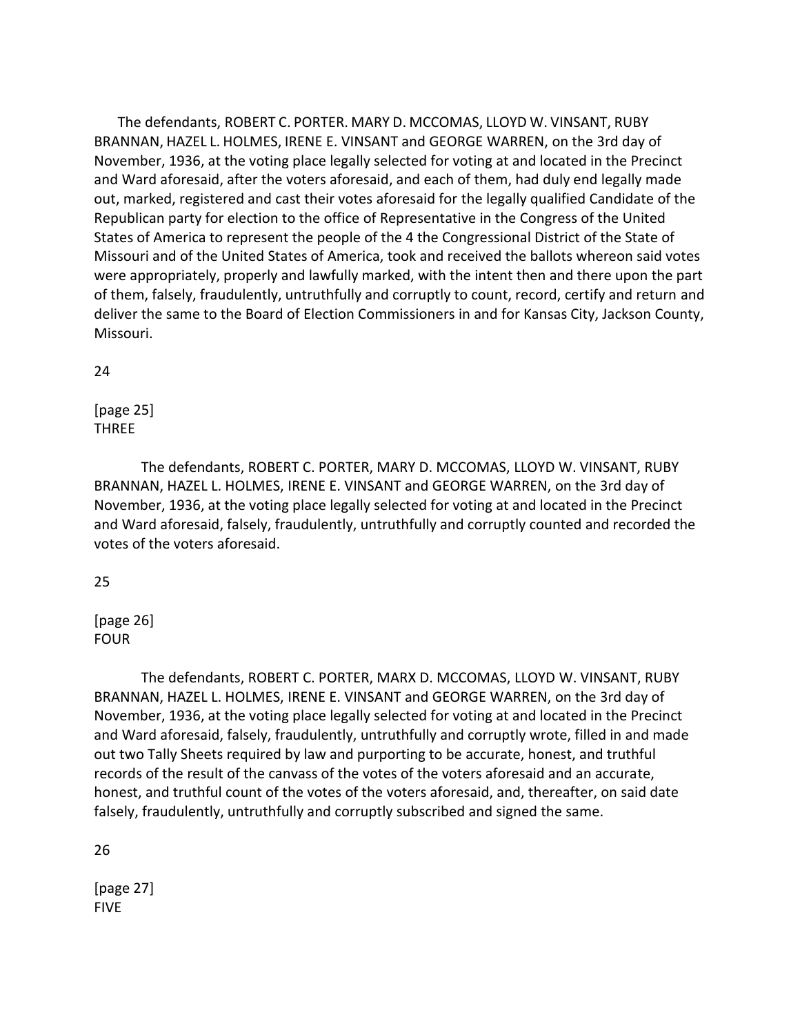The defendants, ROBERT C. PORTER. MARY D. MCCOMAS, LLOYD W. VINSANT, RUBY BRANNAN, HAZEL L. HOLMES, IRENE E. VINSANT and GEORGE WARREN, on the 3rd day of November, 1936, at the voting place legally selected for voting at and located in the Precinct and Ward aforesaid, after the voters aforesaid, and each of them, had duly end legally made out, marked, registered and cast their votes aforesaid for the legally qualified Candidate of the Republican party for election to the office of Representative in the Congress of the United States of America to represent the people of the 4 the Congressional District of the State of Missouri and of the United States of America, took and received the ballots whereon said votes were appropriately, properly and lawfully marked, with the intent then and there upon the part of them, falsely, fraudulently, untruthfully and corruptly to count, record, certify and return and deliver the same to the Board of Election Commissioners in and for Kansas City, Jackson County, Missouri.

24

[page 25] THREE

The defendants, ROBERT C. PORTER, MARY D. MCCOMAS, LLOYD W. VINSANT, RUBY BRANNAN, HAZEL L. HOLMES, IRENE E. VINSANT and GEORGE WARREN, on the 3rd day of November, 1936, at the voting place legally selected for voting at and located in the Precinct and Ward aforesaid, falsely, fraudulently, untruthfully and corruptly counted and recorded the votes of the voters aforesaid.

## 25

[page 26] FOUR

The defendants, ROBERT C. PORTER, MARX D. MCCOMAS, LLOYD W. VINSANT, RUBY BRANNAN, HAZEL L. HOLMES, IRENE E. VINSANT and GEORGE WARREN, on the 3rd day of November, 1936, at the voting place legally selected for voting at and located in the Precinct and Ward aforesaid, falsely, fraudulently, untruthfully and corruptly wrote, filled in and made out two Tally Sheets required by law and purporting to be accurate, honest, and truthful records of the result of the canvass of the votes of the voters aforesaid and an accurate, honest, and truthful count of the votes of the voters aforesaid, and, thereafter, on said date falsely, fraudulently, untruthfully and corruptly subscribed and signed the same.

26

[page 27] FIVE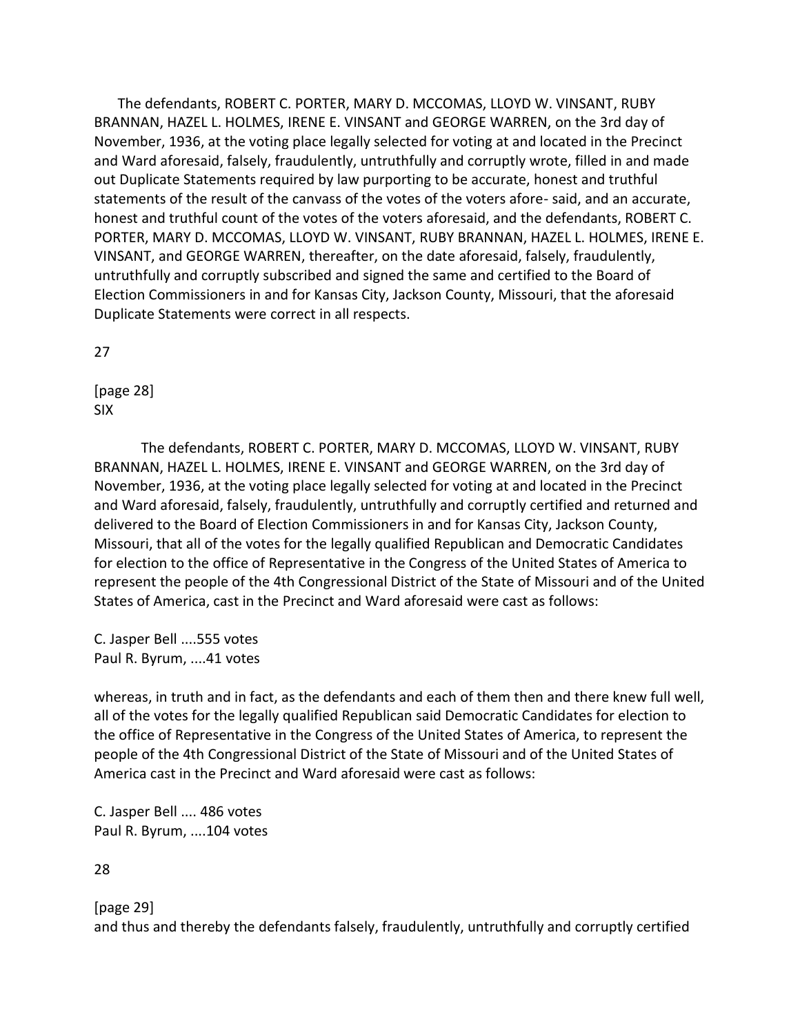The defendants, ROBERT C. PORTER, MARY D. MCCOMAS, LLOYD W. VINSANT, RUBY BRANNAN, HAZEL L. HOLMES, IRENE E. VINSANT and GEORGE WARREN, on the 3rd day of November, 1936, at the voting place legally selected for voting at and located in the Precinct and Ward aforesaid, falsely, fraudulently, untruthfully and corruptly wrote, filled in and made out Duplicate Statements required by law purporting to be accurate, honest and truthful statements of the result of the canvass of the votes of the voters afore- said, and an accurate, honest and truthful count of the votes of the voters aforesaid, and the defendants, ROBERT C. PORTER, MARY D. MCCOMAS, LLOYD W. VINSANT, RUBY BRANNAN, HAZEL L. HOLMES, IRENE E. VINSANT, and GEORGE WARREN, thereafter, on the date aforesaid, falsely, fraudulently, untruthfully and corruptly subscribed and signed the same and certified to the Board of Election Commissioners in and for Kansas City, Jackson County, Missouri, that the aforesaid Duplicate Statements were correct in all respects.

27

[page 28] SIX

The defendants, ROBERT C. PORTER, MARY D. MCCOMAS, LLOYD W. VINSANT, RUBY BRANNAN, HAZEL L. HOLMES, IRENE E. VINSANT and GEORGE WARREN, on the 3rd day of November, 1936, at the voting place legally selected for voting at and located in the Precinct and Ward aforesaid, falsely, fraudulently, untruthfully and corruptly certified and returned and delivered to the Board of Election Commissioners in and for Kansas City, Jackson County, Missouri, that all of the votes for the legally qualified Republican and Democratic Candidates for election to the office of Representative in the Congress of the United States of America to represent the people of the 4th Congressional District of the State of Missouri and of the United States of America, cast in the Precinct and Ward aforesaid were cast as follows:

C. Jasper Bell ....555 votes Paul R. Byrum, ....41 votes

whereas, in truth and in fact, as the defendants and each of them then and there knew full well, all of the votes for the legally qualified Republican said Democratic Candidates for election to the office of Representative in the Congress of the United States of America, to represent the people of the 4th Congressional District of the State of Missouri and of the United States of America cast in the Precinct and Ward aforesaid were cast as follows:

C. Jasper Bell .... 486 votes Paul R. Byrum, ....104 votes

28

[page 29] and thus and thereby the defendants falsely, fraudulently, untruthfully and corruptly certified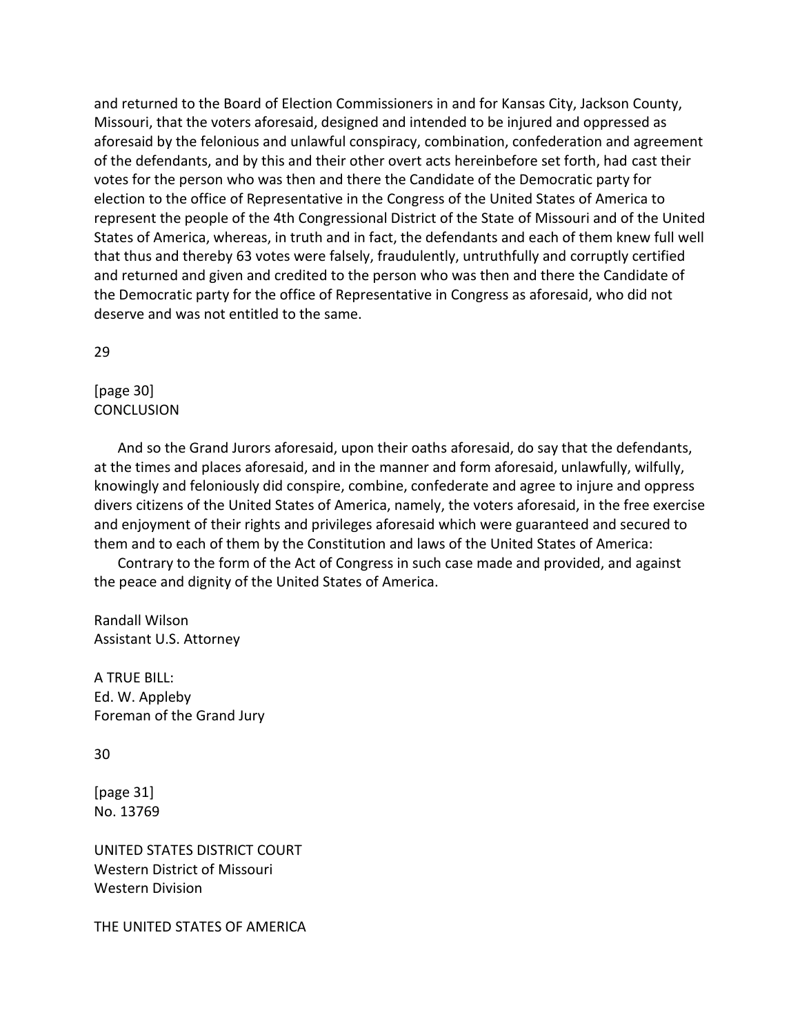and returned to the Board of Election Commissioners in and for Kansas City, Jackson County, Missouri, that the voters aforesaid, designed and intended to be injured and oppressed as aforesaid by the felonious and unlawful conspiracy, combination, confederation and agreement of the defendants, and by this and their other overt acts hereinbefore set forth, had cast their votes for the person who was then and there the Candidate of the Democratic party for election to the office of Representative in the Congress of the United States of America to represent the people of the 4th Congressional District of the State of Missouri and of the United States of America, whereas, in truth and in fact, the defendants and each of them knew full well that thus and thereby 63 votes were falsely, fraudulently, untruthfully and corruptly certified and returned and given and credited to the person who was then and there the Candidate of the Democratic party for the office of Representative in Congress as aforesaid, who did not deserve and was not entitled to the same.

29

[page 30] **CONCLUSION** 

And so the Grand Jurors aforesaid, upon their oaths aforesaid, do say that the defendants, at the times and places aforesaid, and in the manner and form aforesaid, unlawfully, wilfully, knowingly and feloniously did conspire, combine, confederate and agree to injure and oppress divers citizens of the United States of America, namely, the voters aforesaid, in the free exercise and enjoyment of their rights and privileges aforesaid which were guaranteed and secured to them and to each of them by the Constitution and laws of the United States of America:

Contrary to the form of the Act of Congress in such case made and provided, and against the peace and dignity of the United States of America.

Randall Wilson Assistant U.S. Attorney

A TRUE BILL: Ed. W. Appleby Foreman of the Grand Jury

30

[page 31] No. 13769

UNITED STATES DISTRICT COURT Western District of Missouri Western Division

THE UNITED STATES OF AMERICA